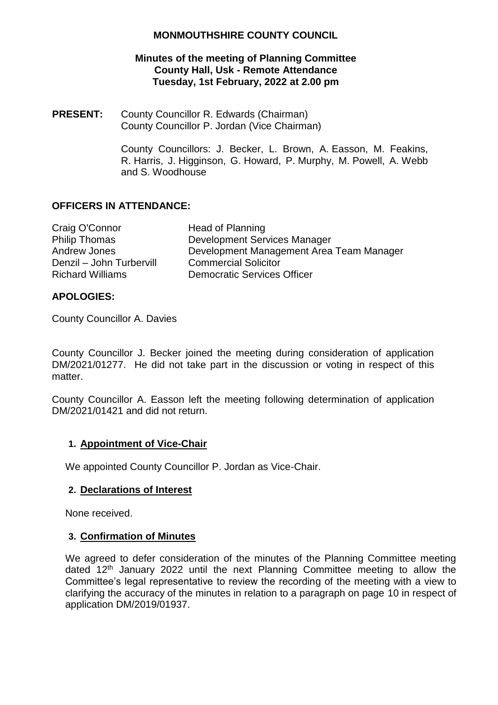## **Minutes of the meeting of Planning Committee County Hall, Usk - Remote Attendance Tuesday, 1st February, 2022 at 2.00 pm**

**PRESENT:** County Councillor R. Edwards (Chairman) County Councillor P. Jordan (Vice Chairman)

> County Councillors: J. Becker, L. Brown, A. Easson, M. Feakins, R. Harris, J. Higginson, G. Howard, P. Murphy, M. Powell, A. Webb and S. Woodhouse

## **OFFICERS IN ATTENDANCE:**

| Head of Planning                         |
|------------------------------------------|
| <b>Development Services Manager</b>      |
| Development Management Area Team Manager |
| <b>Commercial Solicitor</b>              |
| <b>Democratic Services Officer</b>       |
|                                          |

## **APOLOGIES:**

County Councillor A. Davies

County Councillor J. Becker joined the meeting during consideration of application DM/2021/01277. He did not take part in the discussion or voting in respect of this matter.

County Councillor A. Easson left the meeting following determination of application DM/2021/01421 and did not return.

## **1. Appointment of Vice-Chair**

We appointed County Councillor P. Jordan as Vice-Chair.

## **2. Declarations of Interest**

None received.

## **3. Confirmation of Minutes**

We agreed to defer consideration of the minutes of the Planning Committee meeting dated 12th January 2022 until the next Planning Committee meeting to allow the Committee's legal representative to review the recording of the meeting with a view to clarifying the accuracy of the minutes in relation to a paragraph on page 10 in respect of application DM/2019/01937.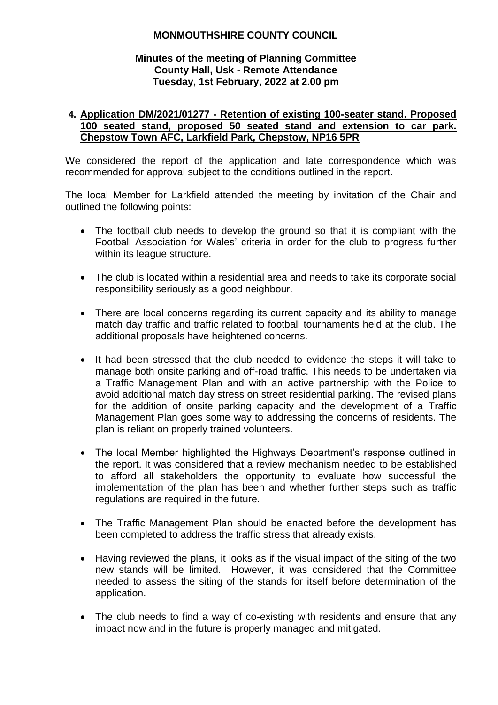## **Minutes of the meeting of Planning Committee County Hall, Usk - Remote Attendance Tuesday, 1st February, 2022 at 2.00 pm**

## **4. Application DM/2021/01277 - Retention of existing 100-seater stand. Proposed 100 seated stand, proposed 50 seated stand and extension to car park. Chepstow Town AFC, Larkfield Park, Chepstow, NP16 5PR**

We considered the report of the application and late correspondence which was recommended for approval subject to the conditions outlined in the report.

The local Member for Larkfield attended the meeting by invitation of the Chair and outlined the following points:

- The football club needs to develop the ground so that it is compliant with the Football Association for Wales' criteria in order for the club to progress further within its league structure.
- The club is located within a residential area and needs to take its corporate social responsibility seriously as a good neighbour.
- There are local concerns regarding its current capacity and its ability to manage match day traffic and traffic related to football tournaments held at the club. The additional proposals have heightened concerns.
- It had been stressed that the club needed to evidence the steps it will take to manage both onsite parking and off-road traffic. This needs to be undertaken via a Traffic Management Plan and with an active partnership with the Police to avoid additional match day stress on street residential parking. The revised plans for the addition of onsite parking capacity and the development of a Traffic Management Plan goes some way to addressing the concerns of residents. The plan is reliant on properly trained volunteers.
- The local Member highlighted the Highways Department's response outlined in the report. It was considered that a review mechanism needed to be established to afford all stakeholders the opportunity to evaluate how successful the implementation of the plan has been and whether further steps such as traffic regulations are required in the future.
- The Traffic Management Plan should be enacted before the development has been completed to address the traffic stress that already exists.
- Having reviewed the plans, it looks as if the visual impact of the siting of the two new stands will be limited. However, it was considered that the Committee needed to assess the siting of the stands for itself before determination of the application.
- The club needs to find a way of co-existing with residents and ensure that any impact now and in the future is properly managed and mitigated.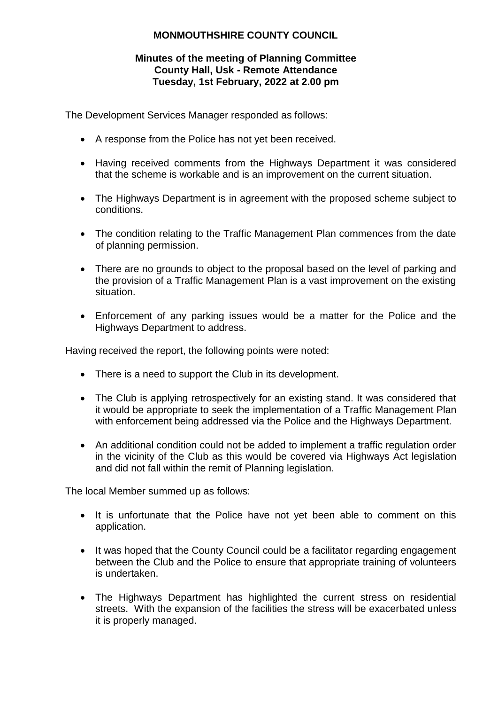## **Minutes of the meeting of Planning Committee County Hall, Usk - Remote Attendance Tuesday, 1st February, 2022 at 2.00 pm**

The Development Services Manager responded as follows:

- A response from the Police has not yet been received.
- Having received comments from the Highways Department it was considered that the scheme is workable and is an improvement on the current situation.
- The Highways Department is in agreement with the proposed scheme subject to conditions.
- The condition relating to the Traffic Management Plan commences from the date of planning permission.
- There are no grounds to object to the proposal based on the level of parking and the provision of a Traffic Management Plan is a vast improvement on the existing situation.
- Enforcement of any parking issues would be a matter for the Police and the Highways Department to address.

Having received the report, the following points were noted:

- There is a need to support the Club in its development.
- The Club is applying retrospectively for an existing stand. It was considered that it would be appropriate to seek the implementation of a Traffic Management Plan with enforcement being addressed via the Police and the Highways Department.
- An additional condition could not be added to implement a traffic regulation order in the vicinity of the Club as this would be covered via Highways Act legislation and did not fall within the remit of Planning legislation.

The local Member summed up as follows:

- It is unfortunate that the Police have not yet been able to comment on this application.
- It was hoped that the County Council could be a facilitator regarding engagement between the Club and the Police to ensure that appropriate training of volunteers is undertaken.
- The Highways Department has highlighted the current stress on residential streets. With the expansion of the facilities the stress will be exacerbated unless it is properly managed.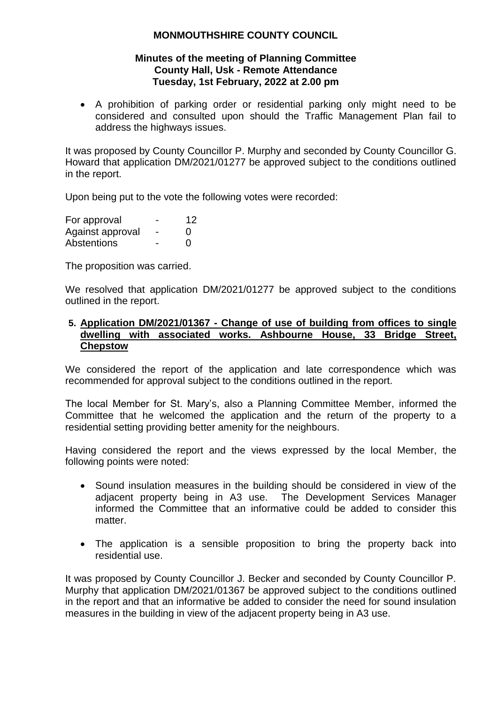### **Minutes of the meeting of Planning Committee County Hall, Usk - Remote Attendance Tuesday, 1st February, 2022 at 2.00 pm**

 A prohibition of parking order or residential parking only might need to be considered and consulted upon should the Traffic Management Plan fail to address the highways issues.

It was proposed by County Councillor P. Murphy and seconded by County Councillor G. Howard that application DM/2021/01277 be approved subject to the conditions outlined in the report.

Upon being put to the vote the following votes were recorded:

| For approval     | 12       |
|------------------|----------|
| Against approval | $\left($ |
| Abstentions      | O        |

The proposition was carried.

We resolved that application DM/2021/01277 be approved subject to the conditions outlined in the report.

#### **5. Application DM/2021/01367 - Change of use of building from offices to single dwelling with associated works. Ashbourne House, 33 Bridge Street, Chepstow**

We considered the report of the application and late correspondence which was recommended for approval subject to the conditions outlined in the report.

The local Member for St. Mary's, also a Planning Committee Member, informed the Committee that he welcomed the application and the return of the property to a residential setting providing better amenity for the neighbours.

Having considered the report and the views expressed by the local Member, the following points were noted:

- Sound insulation measures in the building should be considered in view of the adjacent property being in A3 use. The Development Services Manager informed the Committee that an informative could be added to consider this matter.
- The application is a sensible proposition to bring the property back into residential use.

It was proposed by County Councillor J. Becker and seconded by County Councillor P. Murphy that application DM/2021/01367 be approved subject to the conditions outlined in the report and that an informative be added to consider the need for sound insulation measures in the building in view of the adjacent property being in A3 use.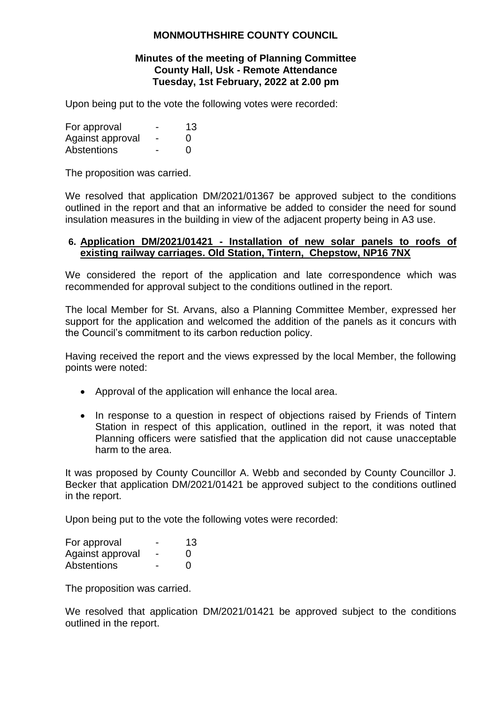#### **Minutes of the meeting of Planning Committee County Hall, Usk - Remote Attendance Tuesday, 1st February, 2022 at 2.00 pm**

Upon being put to the vote the following votes were recorded:

| For approval     | -                        | 13           |
|------------------|--------------------------|--------------|
| Against approval | $\overline{\phantom{0}}$ | $\Omega$     |
| Abstentions      |                          | $\mathbf{0}$ |

The proposition was carried.

We resolved that application DM/2021/01367 be approved subject to the conditions outlined in the report and that an informative be added to consider the need for sound insulation measures in the building in view of the adjacent property being in A3 use.

## **6. Application DM/2021/01421 - Installation of new solar panels to roofs of existing railway carriages. Old Station, Tintern, Chepstow, NP16 7NX**

We considered the report of the application and late correspondence which was recommended for approval subject to the conditions outlined in the report.

The local Member for St. Arvans, also a Planning Committee Member, expressed her support for the application and welcomed the addition of the panels as it concurs with the Council's commitment to its carbon reduction policy.

Having received the report and the views expressed by the local Member, the following points were noted:

- Approval of the application will enhance the local area.
- In response to a question in respect of objections raised by Friends of Tintern Station in respect of this application, outlined in the report, it was noted that Planning officers were satisfied that the application did not cause unacceptable harm to the area.

It was proposed by County Councillor A. Webb and seconded by County Councillor J. Becker that application DM/2021/01421 be approved subject to the conditions outlined in the report.

Upon being put to the vote the following votes were recorded:

| For approval     | -                        | 13            |
|------------------|--------------------------|---------------|
| Against approval | $\overline{\phantom{0}}$ | $\Omega$      |
| Abstentions      |                          | $\mathcal{L}$ |

The proposition was carried.

We resolved that application DM/2021/01421 be approved subject to the conditions outlined in the report.